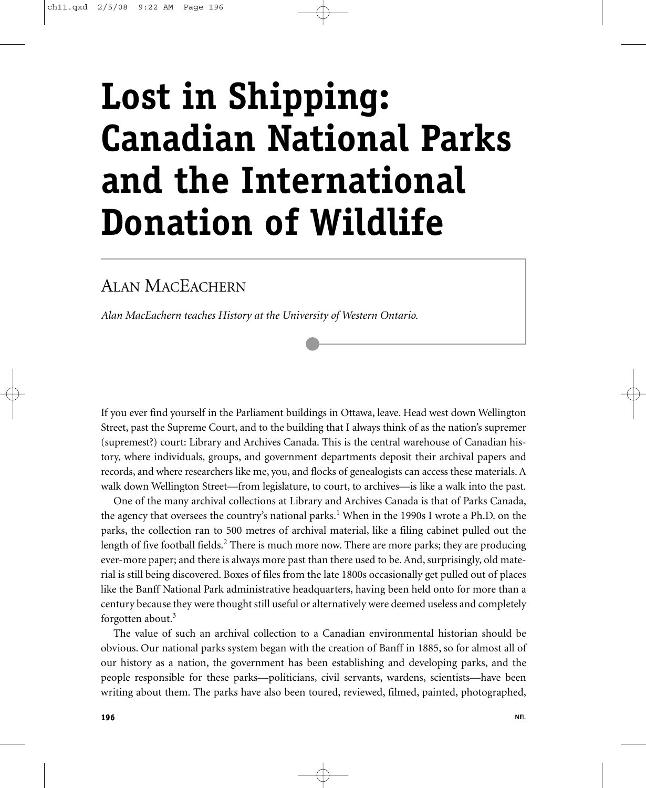# **Lost in Shipping: Canadian National Parks and the International Donation of Wildlife**

## ALAN MACEACHERN

*Alan MacEachern teaches History at the University of Western Ontario.*

If you ever find yourself in the Parliament buildings in Ottawa, leave. Head west down Wellington Street, past the Supreme Court, and to the building that I always think of as the nation's supremer (supremest?) court: Library and Archives Canada. This is the central warehouse of Canadian history, where individuals, groups, and government departments deposit their archival papers and records, and where researchers like me, you, and flocks of genealogists can access these materials. A walk down Wellington Street—from legislature, to court, to archives—is like a walk into the past.

One of the many archival collections at Library and Archives Canada is that of Parks Canada, the agency that oversees the country's national parks.<sup>1</sup> When in the 1990s I wrote a Ph.D. on the parks, the collection ran to 500 metres of archival material, like a filing cabinet pulled out the length of five football fields.<sup>2</sup> There is much more now. There are more parks; they are producing ever-more paper; and there is always more past than there used to be. And, surprisingly, old material is still being discovered. Boxes of files from the late 1800s occasionally get pulled out of places like the Banff National Park administrative headquarters, having been held onto for more than a century because they were thought still useful or alternatively were deemed useless and completely forgotten about.<sup>3</sup>

The value of such an archival collection to a Canadian environmental historian should be obvious. Our national parks system began with the creation of Banff in 1885, so for almost all of our history as a nation, the government has been establishing and developing parks, and the people responsible for these parks—politicians, civil servants, wardens, scientists—have been writing about them. The parks have also been toured, reviewed, filmed, painted, photographed,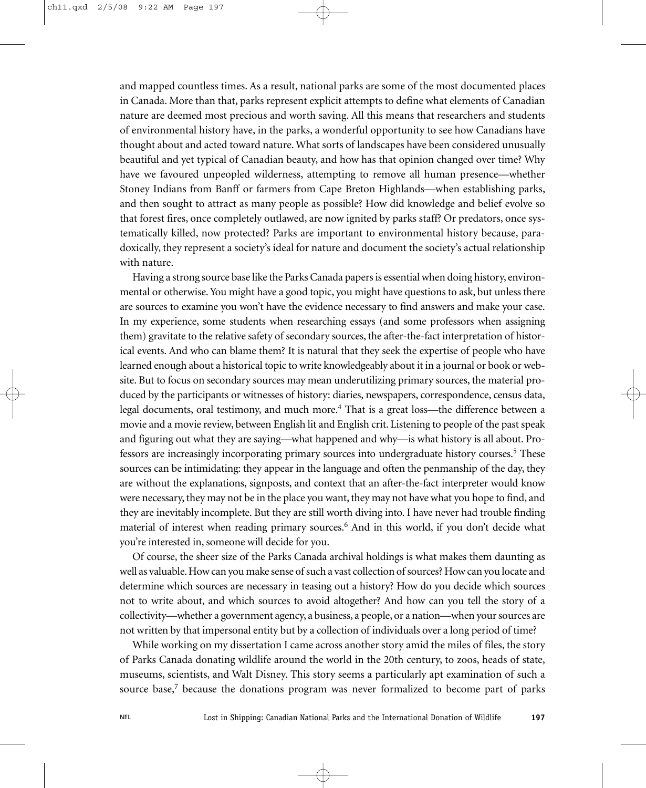and mapped countless times. As a result, national parks are some of the most documented places in Canada. More than that, parks represent explicit attempts to define what elements of Canadian nature are deemed most precious and worth saving. All this means that researchers and students of environmental history have, in the parks, a wonderful opportunity to see how Canadians have thought about and acted toward nature. What sorts of landscapes have been considered unusually beautiful and yet typical of Canadian beauty, and how has that opinion changed over time? Why have we favoured unpeopled wilderness, attempting to remove all human presence—whether Stoney Indians from Banff or farmers from Cape Breton Highlands—when establishing parks, and then sought to attract as many people as possible? How did knowledge and belief evolve so that forest fires, once completely outlawed, are now ignited by parks staff? Or predators, once systematically killed, now protected? Parks are important to environmental history because, paradoxically, they represent a society's ideal for nature and document the society's actual relationship with nature.

Having a strong source base like the Parks Canada papers is essential when doing history, environmental or otherwise. You might have a good topic, you might have questions to ask, but unless there are sources to examine you won't have the evidence necessary to find answers and make your case. In my experience, some students when researching essays (and some professors when assigning them) gravitate to the relative safety of secondary sources, the after-the-fact interpretation of historical events. And who can blame them? It is natural that they seek the expertise of people who have learned enough about a historical topic to write knowledgeably about it in a journal or book or website. But to focus on secondary sources may mean underutilizing primary sources, the material produced by the participants or witnesses of history: diaries, newspapers, correspondence, census data, legal documents, oral testimony, and much more.<sup>4</sup> That is a great loss—the difference between a movie and a movie review, between English lit and English crit. Listening to people of the past speak and figuring out what they are saying—what happened and why—is what history is all about. Professors are increasingly incorporating primary sources into undergraduate history courses.<sup>5</sup> These sources can be intimidating: they appear in the language and often the penmanship of the day, they are without the explanations, signposts, and context that an after-the-fact interpreter would know were necessary, they may not be in the place you want, they may not have what you hope to find, and they are inevitably incomplete. But they are still worth diving into. I have never had trouble finding material of interest when reading primary sources.<sup>6</sup> And in this world, if you don't decide what you're interested in, someone will decide for you.

Of course, the sheer size of the Parks Canada archival holdings is what makes them daunting as well as valuable. How can you make sense of such a vast collection of sources? How can you locate and determine which sources are necessary in teasing out a history? How do you decide which sources not to write about, and which sources to avoid altogether? And how can you tell the story of a collectivity—whether a government agency, a business, a people, or a nation—when your sources are not written by that impersonal entity but by a collection of individuals over a long period of time?

While working on my dissertation I came across another story amid the miles of files, the story of Parks Canada donating wildlife around the world in the 20th century, to zoos, heads of state, museums, scientists, and Walt Disney. This story seems a particularly apt examination of such a source base, $7$  because the donations program was never formalized to become part of parks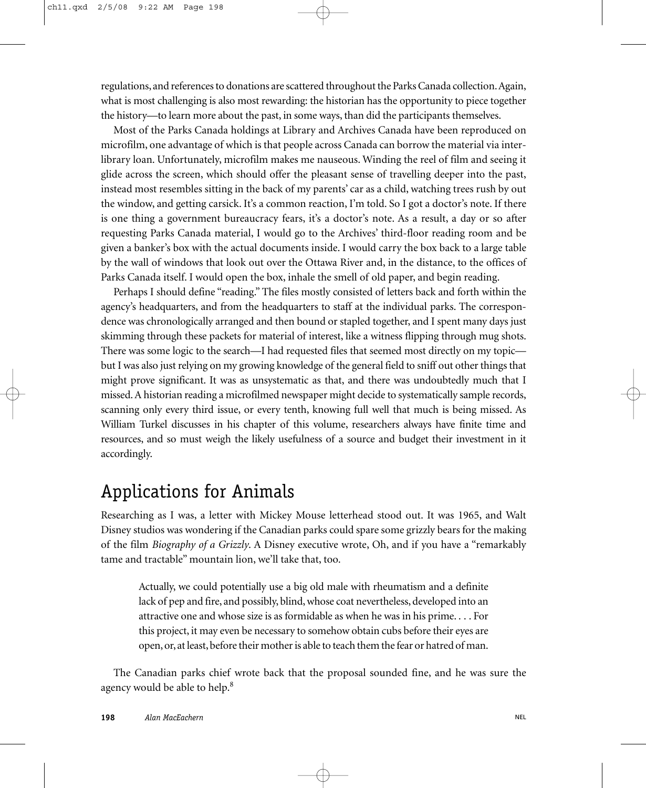regulations, and references to donations are scattered throughout the Parks Canada collection.Again, what is most challenging is also most rewarding: the historian has the opportunity to piece together the history—to learn more about the past, in some ways, than did the participants themselves.

Most of the Parks Canada holdings at Library and Archives Canada have been reproduced on microfilm, one advantage of which is that people across Canada can borrow the material via interlibrary loan. Unfortunately, microfilm makes me nauseous. Winding the reel of film and seeing it glide across the screen, which should offer the pleasant sense of travelling deeper into the past, instead most resembles sitting in the back of my parents' car as a child, watching trees rush by out the window, and getting carsick. It's a common reaction, I'm told. So I got a doctor's note. If there is one thing a government bureaucracy fears, it's a doctor's note. As a result, a day or so after requesting Parks Canada material, I would go to the Archives' third-floor reading room and be given a banker's box with the actual documents inside. I would carry the box back to a large table by the wall of windows that look out over the Ottawa River and, in the distance, to the offices of Parks Canada itself. I would open the box, inhale the smell of old paper, and begin reading.

Perhaps I should define "reading." The files mostly consisted of letters back and forth within the agency's headquarters, and from the headquarters to staff at the individual parks. The correspondence was chronologically arranged and then bound or stapled together, and I spent many days just skimming through these packets for material of interest, like a witness flipping through mug shots. There was some logic to the search—I had requested files that seemed most directly on my topic but I was also just relying on my growing knowledge of the general field to sniff out other things that might prove significant. It was as unsystematic as that, and there was undoubtedly much that I missed. A historian reading a microfilmed newspaper might decide to systematically sample records, scanning only every third issue, or every tenth, knowing full well that much is being missed. As William Turkel discusses in his chapter of this volume, researchers always have finite time and resources, and so must weigh the likely usefulness of a source and budget their investment in it accordingly.

# Applications for Animals

Researching as I was, a letter with Mickey Mouse letterhead stood out. It was 1965, and Walt Disney studios was wondering if the Canadian parks could spare some grizzly bears for the making of the film *Biography of a Grizzly*. A Disney executive wrote, Oh, and if you have a "remarkably tame and tractable" mountain lion, we'll take that, too.

Actually, we could potentially use a big old male with rheumatism and a definite lack of pep and fire, and possibly, blind, whose coat nevertheless, developed into an attractive one and whose size is as formidable as when he was in his prime. . . . For this project, it may even be necessary to somehow obtain cubs before their eyes are open, or, at least, before their mother is able to teach them the fear or hatred of man.

The Canadian parks chief wrote back that the proposal sounded fine, and he was sure the agency would be able to help.<sup>8</sup>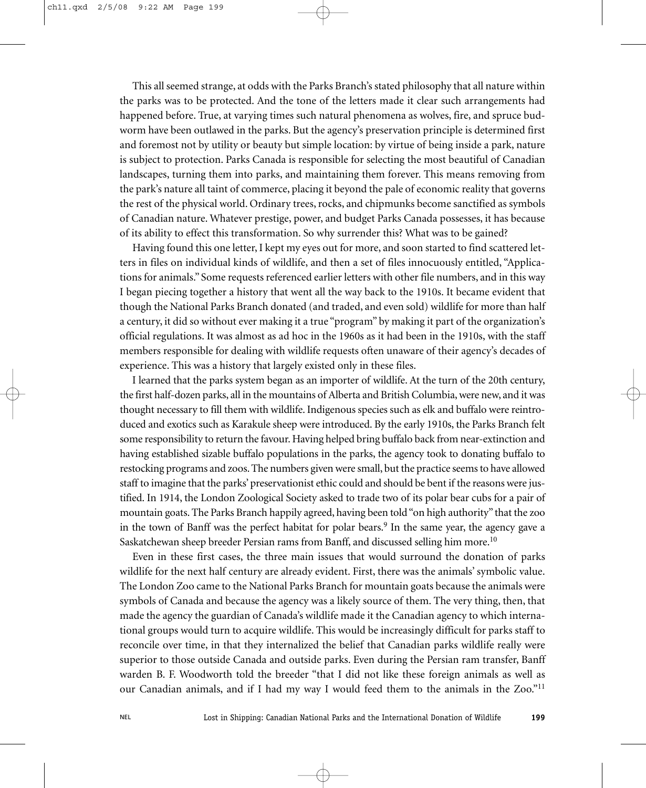This all seemed strange, at odds with the Parks Branch's stated philosophy that all nature within the parks was to be protected. And the tone of the letters made it clear such arrangements had happened before. True, at varying times such natural phenomena as wolves, fire, and spruce budworm have been outlawed in the parks. But the agency's preservation principle is determined first and foremost not by utility or beauty but simple location: by virtue of being inside a park, nature is subject to protection. Parks Canada is responsible for selecting the most beautiful of Canadian landscapes, turning them into parks, and maintaining them forever. This means removing from the park's nature all taint of commerce, placing it beyond the pale of economic reality that governs the rest of the physical world. Ordinary trees, rocks, and chipmunks become sanctified as symbols of Canadian nature. Whatever prestige, power, and budget Parks Canada possesses, it has because of its ability to effect this transformation. So why surrender this? What was to be gained?

Having found this one letter, I kept my eyes out for more, and soon started to find scattered letters in files on individual kinds of wildlife, and then a set of files innocuously entitled, "Applications for animals." Some requests referenced earlier letters with other file numbers, and in this way I began piecing together a history that went all the way back to the 1910s. It became evident that though the National Parks Branch donated (and traded, and even sold) wildlife for more than half a century, it did so without ever making it a true "program" by making it part of the organization's official regulations. It was almost as ad hoc in the 1960s as it had been in the 1910s, with the staff members responsible for dealing with wildlife requests often unaware of their agency's decades of experience. This was a history that largely existed only in these files.

I learned that the parks system began as an importer of wildlife. At the turn of the 20th century, the first half-dozen parks, all in the mountains of Alberta and British Columbia, were new, and it was thought necessary to fill them with wildlife. Indigenous species such as elk and buffalo were reintroduced and exotics such as Karakule sheep were introduced. By the early 1910s, the Parks Branch felt some responsibility to return the favour. Having helped bring buffalo back from near-extinction and having established sizable buffalo populations in the parks, the agency took to donating buffalo to restocking programs and zoos. The numbers given were small, but the practice seems to have allowed staff to imagine that the parks' preservationist ethic could and should be bent if the reasons were justified. In 1914, the London Zoological Society asked to trade two of its polar bear cubs for a pair of mountain goats. The Parks Branch happily agreed, having been told "on high authority" that the zoo in the town of Banff was the perfect habitat for polar bears.<sup>9</sup> In the same year, the agency gave a Saskatchewan sheep breeder Persian rams from Banff, and discussed selling him more.<sup>10</sup>

Even in these first cases, the three main issues that would surround the donation of parks wildlife for the next half century are already evident. First, there was the animals' symbolic value. The London Zoo came to the National Parks Branch for mountain goats because the animals were symbols of Canada and because the agency was a likely source of them. The very thing, then, that made the agency the guardian of Canada's wildlife made it the Canadian agency to which international groups would turn to acquire wildlife. This would be increasingly difficult for parks staff to reconcile over time, in that they internalized the belief that Canadian parks wildlife really were superior to those outside Canada and outside parks. Even during the Persian ram transfer, Banff warden B. F. Woodworth told the breeder "that I did not like these foreign animals as well as our Canadian animals, and if I had my way I would feed them to the animals in the Zoo."<sup>11</sup>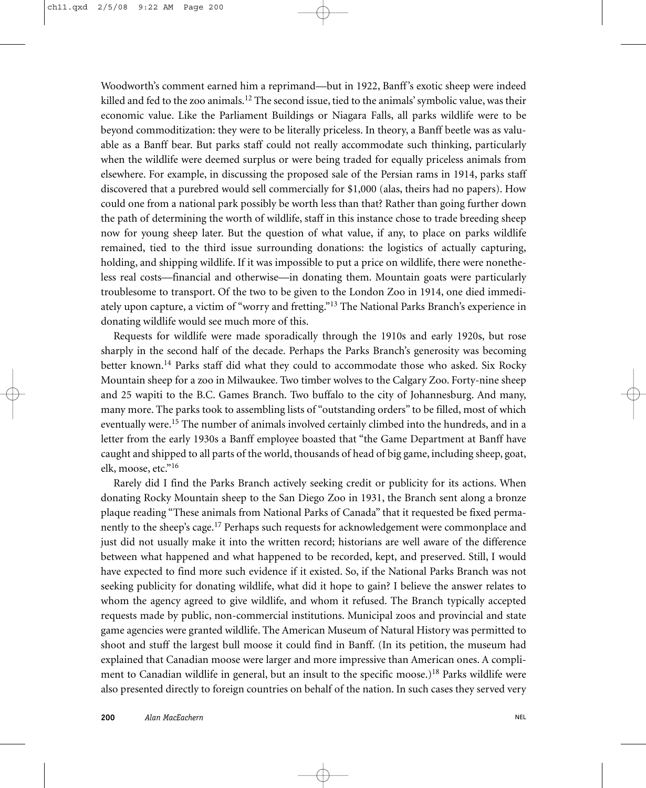Woodworth's comment earned him a reprimand—but in 1922, Banff's exotic sheep were indeed killed and fed to the zoo animals.<sup>12</sup> The second issue, tied to the animals' symbolic value, was their economic value. Like the Parliament Buildings or Niagara Falls, all parks wildlife were to be beyond commoditization: they were to be literally priceless. In theory, a Banff beetle was as valuable as a Banff bear. But parks staff could not really accommodate such thinking, particularly when the wildlife were deemed surplus or were being traded for equally priceless animals from elsewhere. For example, in discussing the proposed sale of the Persian rams in 1914, parks staff discovered that a purebred would sell commercially for \$1,000 (alas, theirs had no papers). How could one from a national park possibly be worth less than that? Rather than going further down the path of determining the worth of wildlife, staff in this instance chose to trade breeding sheep now for young sheep later. But the question of what value, if any, to place on parks wildlife remained, tied to the third issue surrounding donations: the logistics of actually capturing, holding, and shipping wildlife. If it was impossible to put a price on wildlife, there were nonetheless real costs—financial and otherwise—in donating them. Mountain goats were particularly troublesome to transport. Of the two to be given to the London Zoo in 1914, one died immediately upon capture, a victim of "worry and fretting."<sup>13</sup> The National Parks Branch's experience in donating wildlife would see much more of this.

Requests for wildlife were made sporadically through the 1910s and early 1920s, but rose sharply in the second half of the decade. Perhaps the Parks Branch's generosity was becoming better known.<sup>14</sup> Parks staff did what they could to accommodate those who asked. Six Rocky Mountain sheep for a zoo in Milwaukee. Two timber wolves to the Calgary Zoo. Forty-nine sheep and 25 wapiti to the B.C. Games Branch. Two buffalo to the city of Johannesburg. And many, many more. The parks took to assembling lists of "outstanding orders" to be filled, most of which eventually were.<sup>15</sup> The number of animals involved certainly climbed into the hundreds, and in a letter from the early 1930s a Banff employee boasted that "the Game Department at Banff have caught and shipped to all parts of the world, thousands of head of big game, including sheep, goat, elk, moose, etc."16

Rarely did I find the Parks Branch actively seeking credit or publicity for its actions. When donating Rocky Mountain sheep to the San Diego Zoo in 1931, the Branch sent along a bronze plaque reading "These animals from National Parks of Canada" that it requested be fixed permanently to the sheep's cage.<sup>17</sup> Perhaps such requests for acknowledgement were commonplace and just did not usually make it into the written record; historians are well aware of the difference between what happened and what happened to be recorded, kept, and preserved. Still, I would have expected to find more such evidence if it existed. So, if the National Parks Branch was not seeking publicity for donating wildlife, what did it hope to gain? I believe the answer relates to whom the agency agreed to give wildlife, and whom it refused. The Branch typically accepted requests made by public, non-commercial institutions. Municipal zoos and provincial and state game agencies were granted wildlife. The American Museum of Natural History was permitted to shoot and stuff the largest bull moose it could find in Banff. (In its petition, the museum had explained that Canadian moose were larger and more impressive than American ones. A compliment to Canadian wildlife in general, but an insult to the specific moose.)<sup>18</sup> Parks wildlife were also presented directly to foreign countries on behalf of the nation. In such cases they served very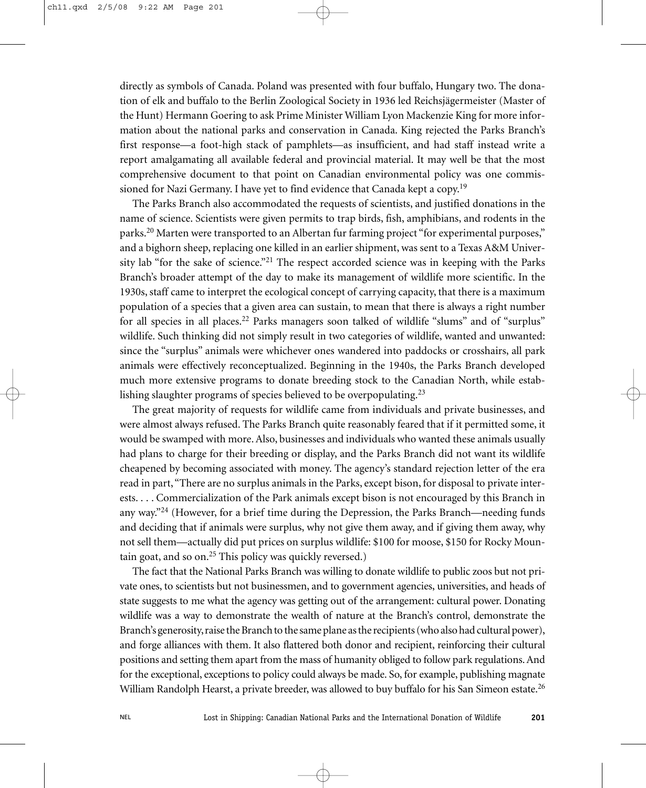directly as symbols of Canada. Poland was presented with four buffalo, Hungary two. The donation of elk and buffalo to the Berlin Zoological Society in 1936 led Reichsjägermeister (Master of the Hunt) Hermann Goering to ask Prime Minister William Lyon Mackenzie King for more information about the national parks and conservation in Canada. King rejected the Parks Branch's first response—a foot-high stack of pamphlets—as insufficient, and had staff instead write a report amalgamating all available federal and provincial material. It may well be that the most comprehensive document to that point on Canadian environmental policy was one commissioned for Nazi Germany. I have yet to find evidence that Canada kept a copy.<sup>19</sup>

The Parks Branch also accommodated the requests of scientists, and justified donations in the name of science. Scientists were given permits to trap birds, fish, amphibians, and rodents in the parks.<sup>20</sup> Marten were transported to an Albertan fur farming project "for experimental purposes," and a bighorn sheep, replacing one killed in an earlier shipment, was sent to a Texas A&M University lab "for the sake of science."<sup>21</sup> The respect accorded science was in keeping with the Parks Branch's broader attempt of the day to make its management of wildlife more scientific. In the 1930s, staff came to interpret the ecological concept of carrying capacity, that there is a maximum population of a species that a given area can sustain, to mean that there is always a right number for all species in all places.<sup>22</sup> Parks managers soon talked of wildlife "slums" and of "surplus" wildlife. Such thinking did not simply result in two categories of wildlife, wanted and unwanted: since the "surplus" animals were whichever ones wandered into paddocks or crosshairs, all park animals were effectively reconceptualized. Beginning in the 1940s, the Parks Branch developed much more extensive programs to donate breeding stock to the Canadian North, while establishing slaughter programs of species believed to be overpopulating.<sup>23</sup>

The great majority of requests for wildlife came from individuals and private businesses, and were almost always refused. The Parks Branch quite reasonably feared that if it permitted some, it would be swamped with more. Also, businesses and individuals who wanted these animals usually had plans to charge for their breeding or display, and the Parks Branch did not want its wildlife cheapened by becoming associated with money. The agency's standard rejection letter of the era read in part,"There are no surplus animals in the Parks, except bison, for disposal to private interests. . . . Commercialization of the Park animals except bison is not encouraged by this Branch in any way. $n^{24}$  (However, for a brief time during the Depression, the Parks Branch—needing funds and deciding that if animals were surplus, why not give them away, and if giving them away, why not sell them—actually did put prices on surplus wildlife: \$100 for moose, \$150 for Rocky Mountain goat, and so on.<sup>25</sup> This policy was quickly reversed.)

The fact that the National Parks Branch was willing to donate wildlife to public zoos but not private ones, to scientists but not businessmen, and to government agencies, universities, and heads of state suggests to me what the agency was getting out of the arrangement: cultural power. Donating wildlife was a way to demonstrate the wealth of nature at the Branch's control, demonstrate the Branch's generosity, raise the Branch to the same plane as the recipients (who also had cultural power), and forge alliances with them. It also flattered both donor and recipient, reinforcing their cultural positions and setting them apart from the mass of humanity obliged to follow park regulations. And for the exceptional, exceptions to policy could always be made. So, for example, publishing magnate William Randolph Hearst, a private breeder, was allowed to buy buffalo for his San Simeon estate.<sup>26</sup>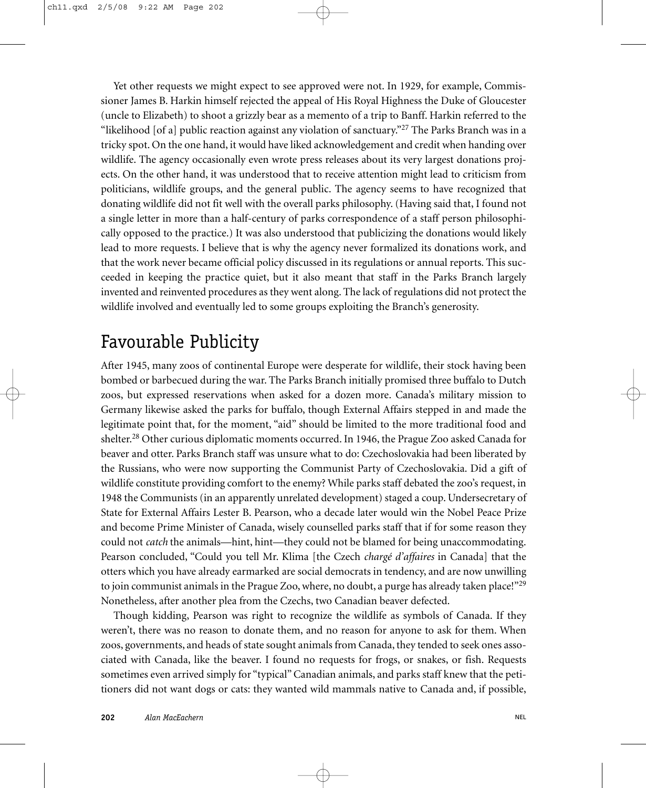Yet other requests we might expect to see approved were not. In 1929, for example, Commissioner James B. Harkin himself rejected the appeal of His Royal Highness the Duke of Gloucester (uncle to Elizabeth) to shoot a grizzly bear as a memento of a trip to Banff. Harkin referred to the "likelihood [of a] public reaction against any violation of sanctuary."<sup>27</sup> The Parks Branch was in a tricky spot. On the one hand, it would have liked acknowledgement and credit when handing over wildlife. The agency occasionally even wrote press releases about its very largest donations projects. On the other hand, it was understood that to receive attention might lead to criticism from politicians, wildlife groups, and the general public. The agency seems to have recognized that donating wildlife did not fit well with the overall parks philosophy. (Having said that, I found not a single letter in more than a half-century of parks correspondence of a staff person philosophically opposed to the practice.) It was also understood that publicizing the donations would likely lead to more requests. I believe that is why the agency never formalized its donations work, and that the work never became official policy discussed in its regulations or annual reports. This succeeded in keeping the practice quiet, but it also meant that staff in the Parks Branch largely invented and reinvented procedures as they went along. The lack of regulations did not protect the wildlife involved and eventually led to some groups exploiting the Branch's generosity.

## Favourable Publicity

After 1945, many zoos of continental Europe were desperate for wildlife, their stock having been bombed or barbecued during the war. The Parks Branch initially promised three buffalo to Dutch zoos, but expressed reservations when asked for a dozen more. Canada's military mission to Germany likewise asked the parks for buffalo, though External Affairs stepped in and made the legitimate point that, for the moment, "aid" should be limited to the more traditional food and shelter.<sup>28</sup> Other curious diplomatic moments occurred. In 1946, the Prague Zoo asked Canada for beaver and otter. Parks Branch staff was unsure what to do: Czechoslovakia had been liberated by the Russians, who were now supporting the Communist Party of Czechoslovakia. Did a gift of wildlife constitute providing comfort to the enemy? While parks staff debated the zoo's request, in 1948 the Communists (in an apparently unrelated development) staged a coup. Undersecretary of State for External Affairs Lester B. Pearson, who a decade later would win the Nobel Peace Prize and become Prime Minister of Canada, wisely counselled parks staff that if for some reason they could not *catch* the animals—hint, hint—they could not be blamed for being unaccommodating. Pearson concluded, "Could you tell Mr. Klima [the Czech *chargé d'affaires* in Canada] that the otters which you have already earmarked are social democrats in tendency, and are now unwilling to join communist animals in the Prague Zoo, where, no doubt, a purge has already taken place!"<sup>29</sup> Nonetheless, after another plea from the Czechs, two Canadian beaver defected.

Though kidding, Pearson was right to recognize the wildlife as symbols of Canada. If they weren't, there was no reason to donate them, and no reason for anyone to ask for them. When zoos, governments, and heads of state sought animals from Canada, they tended to seek ones associated with Canada, like the beaver. I found no requests for frogs, or snakes, or fish. Requests sometimes even arrived simply for "typical" Canadian animals, and parks staff knew that the petitioners did not want dogs or cats: they wanted wild mammals native to Canada and, if possible,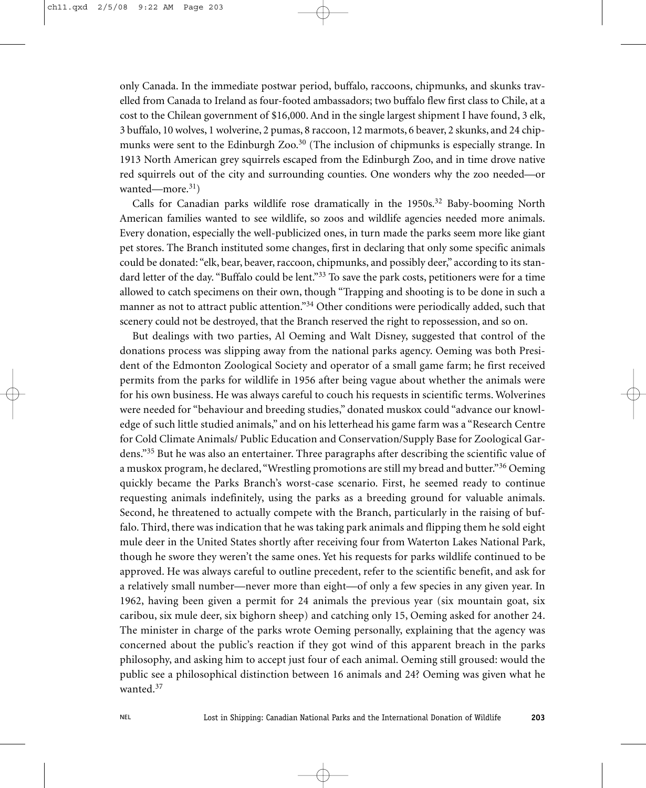only Canada. In the immediate postwar period, buffalo, raccoons, chipmunks, and skunks travelled from Canada to Ireland as four-footed ambassadors; two buffalo flew first class to Chile, at a cost to the Chilean government of \$16,000. And in the single largest shipment I have found, 3 elk, 3 buffalo, 10 wolves, 1 wolverine, 2 pumas, 8 raccoon, 12 marmots, 6 beaver, 2 skunks, and 24 chipmunks were sent to the Edinburgh Zoo.<sup>30</sup> (The inclusion of chipmunks is especially strange. In 1913 North American grey squirrels escaped from the Edinburgh Zoo, and in time drove native red squirrels out of the city and surrounding counties. One wonders why the zoo needed—or wanted—more. $31)$ 

Calls for Canadian parks wildlife rose dramatically in the  $1950s<sup>32</sup>$  Baby-booming North American families wanted to see wildlife, so zoos and wildlife agencies needed more animals. Every donation, especially the well-publicized ones, in turn made the parks seem more like giant pet stores. The Branch instituted some changes, first in declaring that only some specific animals could be donated: "elk, bear, beaver, raccoon, chipmunks, and possibly deer," according to its standard letter of the day. "Buffalo could be lent."<sup>33</sup> To save the park costs, petitioners were for a time allowed to catch specimens on their own, though "Trapping and shooting is to be done in such a manner as not to attract public attention."34 Other conditions were periodically added, such that scenery could not be destroyed, that the Branch reserved the right to repossession, and so on.

But dealings with two parties, Al Oeming and Walt Disney, suggested that control of the donations process was slipping away from the national parks agency. Oeming was both President of the Edmonton Zoological Society and operator of a small game farm; he first received permits from the parks for wildlife in 1956 after being vague about whether the animals were for his own business. He was always careful to couch his requests in scientific terms. Wolverines were needed for "behaviour and breeding studies," donated muskox could "advance our knowledge of such little studied animals," and on his letterhead his game farm was a "Research Centre for Cold Climate Animals/ Public Education and Conservation/Supply Base for Zoological Gardens."<sup>35</sup> But he was also an entertainer. Three paragraphs after describing the scientific value of a muskox program, he declared, "Wrestling promotions are still my bread and butter."<sup>36</sup> Oeming quickly became the Parks Branch's worst-case scenario. First, he seemed ready to continue requesting animals indefinitely, using the parks as a breeding ground for valuable animals. Second, he threatened to actually compete with the Branch, particularly in the raising of buffalo. Third, there was indication that he was taking park animals and flipping them he sold eight mule deer in the United States shortly after receiving four from Waterton Lakes National Park, though he swore they weren't the same ones. Yet his requests for parks wildlife continued to be approved. He was always careful to outline precedent, refer to the scientific benefit, and ask for a relatively small number—never more than eight—of only a few species in any given year. In 1962, having been given a permit for 24 animals the previous year (six mountain goat, six caribou, six mule deer, six bighorn sheep) and catching only 15, Oeming asked for another 24. The minister in charge of the parks wrote Oeming personally, explaining that the agency was concerned about the public's reaction if they got wind of this apparent breach in the parks philosophy, and asking him to accept just four of each animal. Oeming still groused: would the public see a philosophical distinction between 16 animals and 24? Oeming was given what he wanted.<sup>37</sup>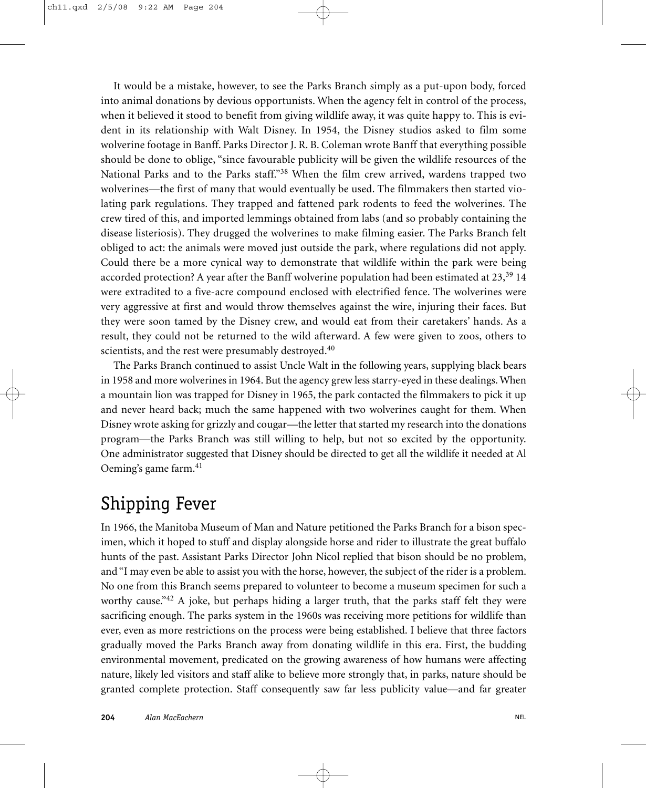It would be a mistake, however, to see the Parks Branch simply as a put-upon body, forced into animal donations by devious opportunists. When the agency felt in control of the process, when it believed it stood to benefit from giving wildlife away, it was quite happy to. This is evident in its relationship with Walt Disney. In 1954, the Disney studios asked to film some wolverine footage in Banff. Parks Director J. R. B. Coleman wrote Banff that everything possible should be done to oblige, "since favourable publicity will be given the wildlife resources of the National Parks and to the Parks staff."<sup>38</sup> When the film crew arrived, wardens trapped two wolverines—the first of many that would eventually be used. The filmmakers then started violating park regulations. They trapped and fattened park rodents to feed the wolverines. The crew tired of this, and imported lemmings obtained from labs (and so probably containing the disease listeriosis). They drugged the wolverines to make filming easier. The Parks Branch felt obliged to act: the animals were moved just outside the park, where regulations did not apply. Could there be a more cynical way to demonstrate that wildlife within the park were being accorded protection? A year after the Banff wolverine population had been estimated at  $23$ ,  $39\,$  14 were extradited to a five-acre compound enclosed with electrified fence. The wolverines were very aggressive at first and would throw themselves against the wire, injuring their faces. But they were soon tamed by the Disney crew, and would eat from their caretakers' hands. As a result, they could not be returned to the wild afterward. A few were given to zoos, others to scientists, and the rest were presumably destroyed.<sup>40</sup>

The Parks Branch continued to assist Uncle Walt in the following years, supplying black bears in 1958 and more wolverines in 1964. But the agency grew less starry-eyed in these dealings. When a mountain lion was trapped for Disney in 1965, the park contacted the filmmakers to pick it up and never heard back; much the same happened with two wolverines caught for them. When Disney wrote asking for grizzly and cougar—the letter that started my research into the donations program—the Parks Branch was still willing to help, but not so excited by the opportunity. One administrator suggested that Disney should be directed to get all the wildlife it needed at Al Oeming's game farm.<sup>41</sup>

## Shipping Fever

In 1966, the Manitoba Museum of Man and Nature petitioned the Parks Branch for a bison specimen, which it hoped to stuff and display alongside horse and rider to illustrate the great buffalo hunts of the past. Assistant Parks Director John Nicol replied that bison should be no problem, and "I may even be able to assist you with the horse, however, the subject of the rider is a problem. No one from this Branch seems prepared to volunteer to become a museum specimen for such a worthy cause."<sup>42</sup> A joke, but perhaps hiding a larger truth, that the parks staff felt they were sacrificing enough. The parks system in the 1960s was receiving more petitions for wildlife than ever, even as more restrictions on the process were being established. I believe that three factors gradually moved the Parks Branch away from donating wildlife in this era. First, the budding environmental movement, predicated on the growing awareness of how humans were affecting nature, likely led visitors and staff alike to believe more strongly that, in parks, nature should be granted complete protection. Staff consequently saw far less publicity value—and far greater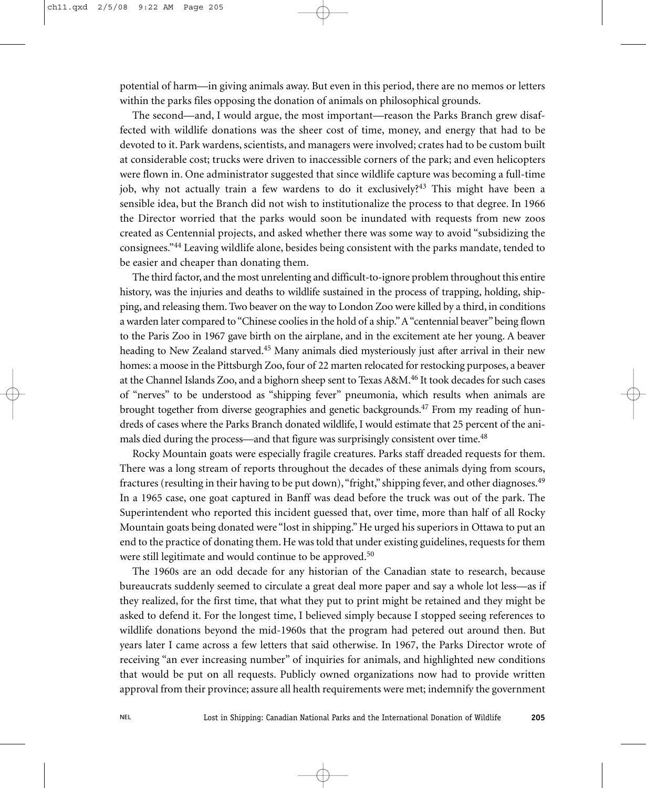potential of harm—in giving animals away. But even in this period, there are no memos or letters within the parks files opposing the donation of animals on philosophical grounds.

The second—and, I would argue, the most important—reason the Parks Branch grew disaffected with wildlife donations was the sheer cost of time, money, and energy that had to be devoted to it. Park wardens, scientists, and managers were involved; crates had to be custom built at considerable cost; trucks were driven to inaccessible corners of the park; and even helicopters were flown in. One administrator suggested that since wildlife capture was becoming a full-time job, why not actually train a few wardens to do it exclusively?<sup>43</sup> This might have been a sensible idea, but the Branch did not wish to institutionalize the process to that degree. In 1966 the Director worried that the parks would soon be inundated with requests from new zoos created as Centennial projects, and asked whether there was some way to avoid "subsidizing the consignees."<sup>44</sup> Leaving wildlife alone, besides being consistent with the parks mandate, tended to be easier and cheaper than donating them.

The third factor, and the most unrelenting and difficult-to-ignore problem throughout this entire history, was the injuries and deaths to wildlife sustained in the process of trapping, holding, shipping, and releasing them. Two beaver on the way to London Zoo were killed by a third, in conditions a warden later compared to "Chinese coolies in the hold of a ship."A "centennial beaver" being flown to the Paris Zoo in 1967 gave birth on the airplane, and in the excitement ate her young. A beaver heading to New Zealand starved.<sup>45</sup> Many animals died mysteriously just after arrival in their new homes: a moose in the Pittsburgh Zoo, four of 22 marten relocated for restocking purposes, a beaver at the Channel Islands Zoo, and a bighorn sheep sent to Texas A&M.<sup>46</sup> It took decades for such cases of "nerves" to be understood as "shipping fever" pneumonia, which results when animals are brought together from diverse geographies and genetic backgrounds.<sup>47</sup> From my reading of hundreds of cases where the Parks Branch donated wildlife, I would estimate that 25 percent of the animals died during the process—and that figure was surprisingly consistent over time.<sup>48</sup>

Rocky Mountain goats were especially fragile creatures. Parks staff dreaded requests for them. There was a long stream of reports throughout the decades of these animals dying from scours, fractures (resulting in their having to be put down), "fright," shipping fever, and other diagnoses.<sup>49</sup> In a 1965 case, one goat captured in Banff was dead before the truck was out of the park. The Superintendent who reported this incident guessed that, over time, more than half of all Rocky Mountain goats being donated were "lost in shipping." He urged his superiors in Ottawa to put an end to the practice of donating them. He was told that under existing guidelines, requests for them were still legitimate and would continue to be approved.<sup>50</sup>

The 1960s are an odd decade for any historian of the Canadian state to research, because bureaucrats suddenly seemed to circulate a great deal more paper and say a whole lot less—as if they realized, for the first time, that what they put to print might be retained and they might be asked to defend it. For the longest time, I believed simply because I stopped seeing references to wildlife donations beyond the mid-1960s that the program had petered out around then. But years later I came across a few letters that said otherwise. In 1967, the Parks Director wrote of receiving "an ever increasing number" of inquiries for animals, and highlighted new conditions that would be put on all requests. Publicly owned organizations now had to provide written approval from their province; assure all health requirements were met; indemnify the government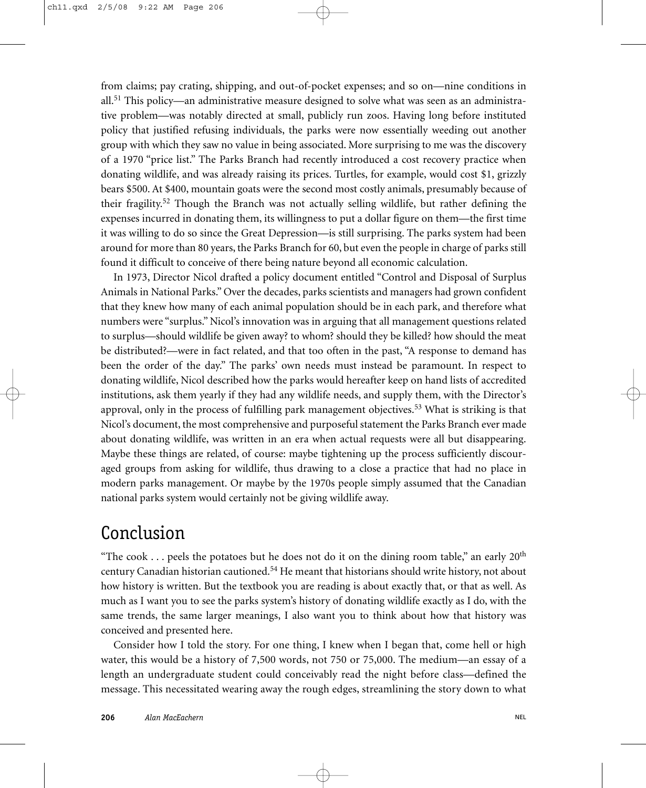from claims; pay crating, shipping, and out-of-pocket expenses; and so on—nine conditions in all.<sup>51</sup> This policy—an administrative measure designed to solve what was seen as an administrative problem—was notably directed at small, publicly run zoos. Having long before instituted policy that justified refusing individuals, the parks were now essentially weeding out another group with which they saw no value in being associated. More surprising to me was the discovery of a 1970 "price list." The Parks Branch had recently introduced a cost recovery practice when donating wildlife, and was already raising its prices. Turtles, for example, would cost \$1, grizzly bears \$500. At \$400, mountain goats were the second most costly animals, presumably because of their fragility.<sup>52</sup> Though the Branch was not actually selling wildlife, but rather defining the expenses incurred in donating them, its willingness to put a dollar figure on them—the first time it was willing to do so since the Great Depression—is still surprising. The parks system had been around for more than 80 years, the Parks Branch for 60, but even the people in charge of parks still found it difficult to conceive of there being nature beyond all economic calculation.

In 1973, Director Nicol drafted a policy document entitled "Control and Disposal of Surplus Animals in National Parks." Over the decades, parks scientists and managers had grown confident that they knew how many of each animal population should be in each park, and therefore what numbers were "surplus." Nicol's innovation was in arguing that all management questions related to surplus—should wildlife be given away? to whom? should they be killed? how should the meat be distributed?—were in fact related, and that too often in the past, "A response to demand has been the order of the day." The parks' own needs must instead be paramount. In respect to donating wildlife, Nicol described how the parks would hereafter keep on hand lists of accredited institutions, ask them yearly if they had any wildlife needs, and supply them, with the Director's approval, only in the process of fulfilling park management objectives.<sup>53</sup> What is striking is that Nicol's document, the most comprehensive and purposeful statement the Parks Branch ever made about donating wildlife, was written in an era when actual requests were all but disappearing. Maybe these things are related, of course: maybe tightening up the process sufficiently discouraged groups from asking for wildlife, thus drawing to a close a practice that had no place in modern parks management. Or maybe by the 1970s people simply assumed that the Canadian national parks system would certainly not be giving wildlife away.

## Conclusion

"The cook ... peels the potatoes but he does not do it on the dining room table," an early  $20<sup>th</sup>$ century Canadian historian cautioned.<sup>54</sup> He meant that historians should write history, not about how history is written. But the textbook you are reading is about exactly that, or that as well. As much as I want you to see the parks system's history of donating wildlife exactly as I do, with the same trends, the same larger meanings, I also want you to think about how that history was conceived and presented here.

Consider how I told the story. For one thing, I knew when I began that, come hell or high water, this would be a history of 7,500 words, not 750 or 75,000. The medium—an essay of a length an undergraduate student could conceivably read the night before class—defined the message. This necessitated wearing away the rough edges, streamlining the story down to what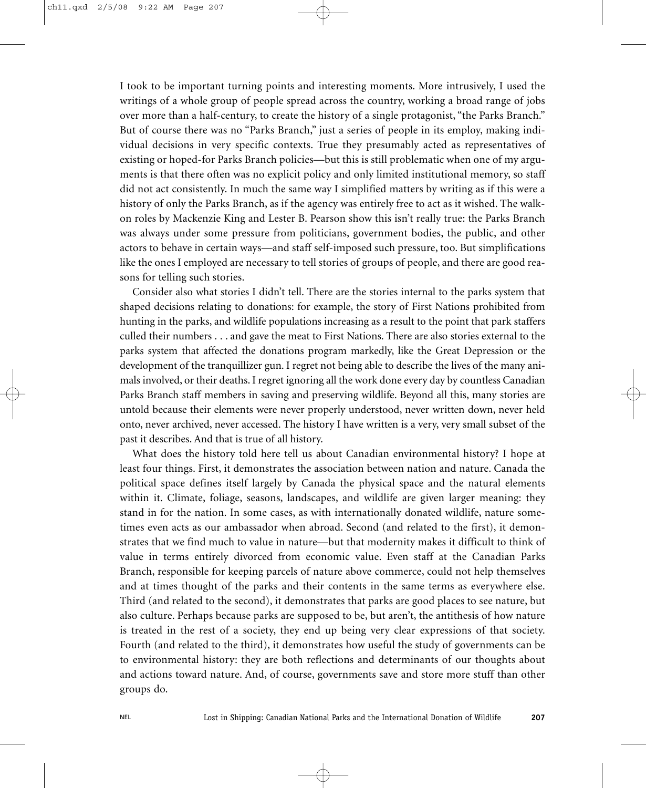I took to be important turning points and interesting moments. More intrusively, I used the writings of a whole group of people spread across the country, working a broad range of jobs over more than a half-century, to create the history of a single protagonist, "the Parks Branch." But of course there was no "Parks Branch," just a series of people in its employ, making individual decisions in very specific contexts. True they presumably acted as representatives of existing or hoped-for Parks Branch policies—but this is still problematic when one of my arguments is that there often was no explicit policy and only limited institutional memory, so staff did not act consistently. In much the same way I simplified matters by writing as if this were a history of only the Parks Branch, as if the agency was entirely free to act as it wished. The walkon roles by Mackenzie King and Lester B. Pearson show this isn't really true: the Parks Branch was always under some pressure from politicians, government bodies, the public, and other actors to behave in certain ways—and staff self-imposed such pressure, too. But simplifications like the ones I employed are necessary to tell stories of groups of people, and there are good reasons for telling such stories.

Consider also what stories I didn't tell. There are the stories internal to the parks system that shaped decisions relating to donations: for example, the story of First Nations prohibited from hunting in the parks, and wildlife populations increasing as a result to the point that park staffers culled their numbers . . . and gave the meat to First Nations. There are also stories external to the parks system that affected the donations program markedly, like the Great Depression or the development of the tranquillizer gun. I regret not being able to describe the lives of the many animals involved, or their deaths. I regret ignoring all the work done every day by countless Canadian Parks Branch staff members in saving and preserving wildlife. Beyond all this, many stories are untold because their elements were never properly understood, never written down, never held onto, never archived, never accessed. The history I have written is a very, very small subset of the past it describes. And that is true of all history.

What does the history told here tell us about Canadian environmental history? I hope at least four things. First, it demonstrates the association between nation and nature. Canada the political space defines itself largely by Canada the physical space and the natural elements within it. Climate, foliage, seasons, landscapes, and wildlife are given larger meaning: they stand in for the nation. In some cases, as with internationally donated wildlife, nature sometimes even acts as our ambassador when abroad. Second (and related to the first), it demonstrates that we find much to value in nature—but that modernity makes it difficult to think of value in terms entirely divorced from economic value. Even staff at the Canadian Parks Branch, responsible for keeping parcels of nature above commerce, could not help themselves and at times thought of the parks and their contents in the same terms as everywhere else. Third (and related to the second), it demonstrates that parks are good places to see nature, but also culture. Perhaps because parks are supposed to be, but aren't, the antithesis of how nature is treated in the rest of a society, they end up being very clear expressions of that society. Fourth (and related to the third), it demonstrates how useful the study of governments can be to environmental history: they are both reflections and determinants of our thoughts about and actions toward nature. And, of course, governments save and store more stuff than other groups do.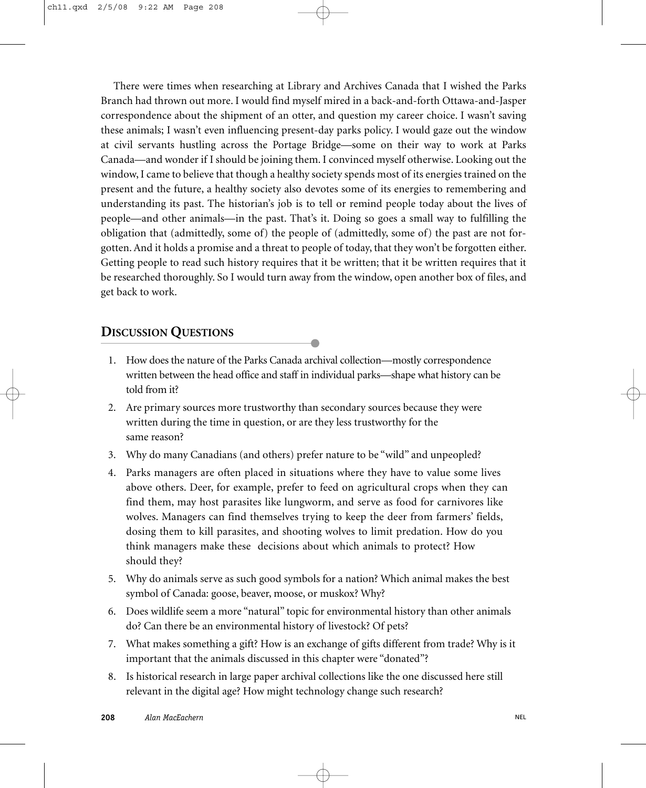There were times when researching at Library and Archives Canada that I wished the Parks Branch had thrown out more. I would find myself mired in a back-and-forth Ottawa-and-Jasper correspondence about the shipment of an otter, and question my career choice. I wasn't saving these animals; I wasn't even influencing present-day parks policy. I would gaze out the window at civil servants hustling across the Portage Bridge—some on their way to work at Parks Canada—and wonder if I should be joining them. I convinced myself otherwise. Looking out the window, I came to believe that though a healthy society spends most of its energies trained on the present and the future, a healthy society also devotes some of its energies to remembering and understanding its past. The historian's job is to tell or remind people today about the lives of people—and other animals—in the past. That's it. Doing so goes a small way to fulfilling the obligation that (admittedly, some of) the people of (admittedly, some of) the past are not forgotten. And it holds a promise and a threat to people of today, that they won't be forgotten either. Getting people to read such history requires that it be written; that it be written requires that it be researched thoroughly. So I would turn away from the window, open another box of files, and get back to work.

#### **DISCUSSION QUESTIONS**

- 1. How does the nature of the Parks Canada archival collection—mostly correspondence written between the head office and staff in individual parks—shape what history can be told from it?
- 2. Are primary sources more trustworthy than secondary sources because they were written during the time in question, or are they less trustworthy for the same reason?
- 3. Why do many Canadians (and others) prefer nature to be "wild" and unpeopled?
- 4. Parks managers are often placed in situations where they have to value some lives above others. Deer, for example, prefer to feed on agricultural crops when they can find them, may host parasites like lungworm, and serve as food for carnivores like wolves. Managers can find themselves trying to keep the deer from farmers' fields, dosing them to kill parasites, and shooting wolves to limit predation. How do you think managers make these decisions about which animals to protect? How should they?
- 5. Why do animals serve as such good symbols for a nation? Which animal makes the best symbol of Canada: goose, beaver, moose, or muskox? Why?
- 6. Does wildlife seem a more "natural" topic for environmental history than other animals do? Can there be an environmental history of livestock? Of pets?
- 7. What makes something a gift? How is an exchange of gifts different from trade? Why is it important that the animals discussed in this chapter were "donated"?
- 8. Is historical research in large paper archival collections like the one discussed here still relevant in the digital age? How might technology change such research?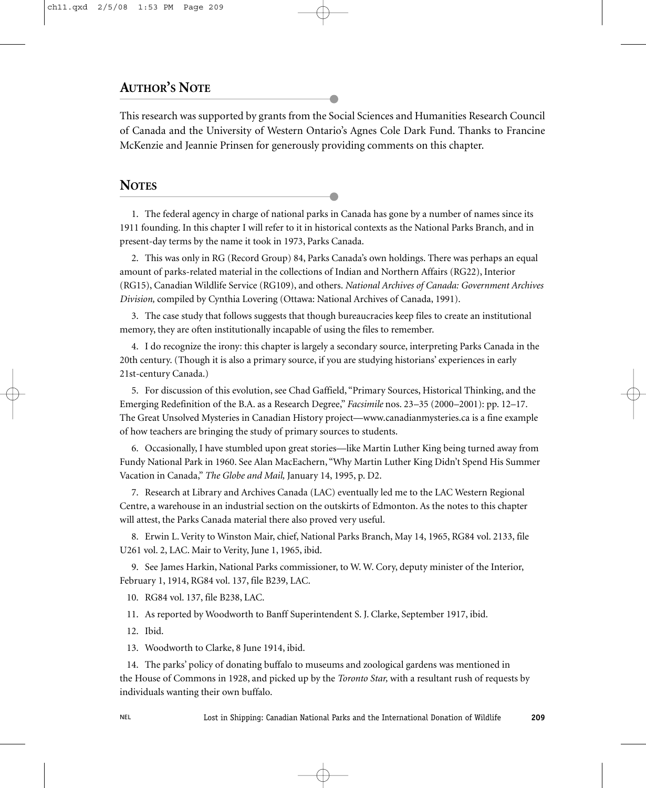### **AUTHOR'S NOTE**

This research was supported by grants from the Social Sciences and Humanities Research Council of Canada and the University of Western Ontario's Agnes Cole Dark Fund. Thanks to Francine McKenzie and Jeannie Prinsen for generously providing comments on this chapter.

#### **NOTES**

1. The federal agency in charge of national parks in Canada has gone by a number of names since its 1911 founding. In this chapter I will refer to it in historical contexts as the National Parks Branch, and in present-day terms by the name it took in 1973, Parks Canada.

2. This was only in RG (Record Group) 84, Parks Canada's own holdings. There was perhaps an equal amount of parks-related material in the collections of Indian and Northern Affairs (RG22), Interior (RG15), Canadian Wildlife Service (RG109), and others. *National Archives of Canada: Government Archives Division,* compiled by Cynthia Lovering (Ottawa: National Archives of Canada, 1991).

3. The case study that follows suggests that though bureaucracies keep files to create an institutional memory, they are often institutionally incapable of using the files to remember.

4. I do recognize the irony: this chapter is largely a secondary source, interpreting Parks Canada in the 20th century. (Though it is also a primary source, if you are studying historians' experiences in early 21st-century Canada.)

5. For discussion of this evolution, see Chad Gaffield, "Primary Sources, Historical Thinking, and the Emerging Redefinition of the B.A. as a Research Degree," *Facsimile* nos. 23–35 (2000–2001): pp. 12–17. The Great Unsolved Mysteries in Canadian History project—www.canadianmysteries.ca is a fine example of how teachers are bringing the study of primary sources to students.

6. Occasionally, I have stumbled upon great stories—like Martin Luther King being turned away from Fundy National Park in 1960. See Alan MacEachern, "Why Martin Luther King Didn't Spend His Summer Vacation in Canada," *The Globe and Mail,* January 14, 1995, p. D2.

7. Research at Library and Archives Canada (LAC) eventually led me to the LAC Western Regional Centre, a warehouse in an industrial section on the outskirts of Edmonton. As the notes to this chapter will attest, the Parks Canada material there also proved very useful.

8. Erwin L. Verity to Winston Mair, chief, National Parks Branch, May 14, 1965, RG84 vol. 2133, file U261 vol. 2, LAC. Mair to Verity, June 1, 1965, ibid.

9. See James Harkin, National Parks commissioner, to W. W. Cory, deputy minister of the Interior, February 1, 1914, RG84 vol. 137, file B239, LAC.

10. RG84 vol. 137, file B238, LAC.

11. As reported by Woodworth to Banff Superintendent S. J. Clarke, September 1917, ibid.

12. Ibid.

13. Woodworth to Clarke, 8 June 1914, ibid.

14. The parks' policy of donating buffalo to museums and zoological gardens was mentioned in the House of Commons in 1928, and picked up by the *Toronto Star,* with a resultant rush of requests by individuals wanting their own buffalo.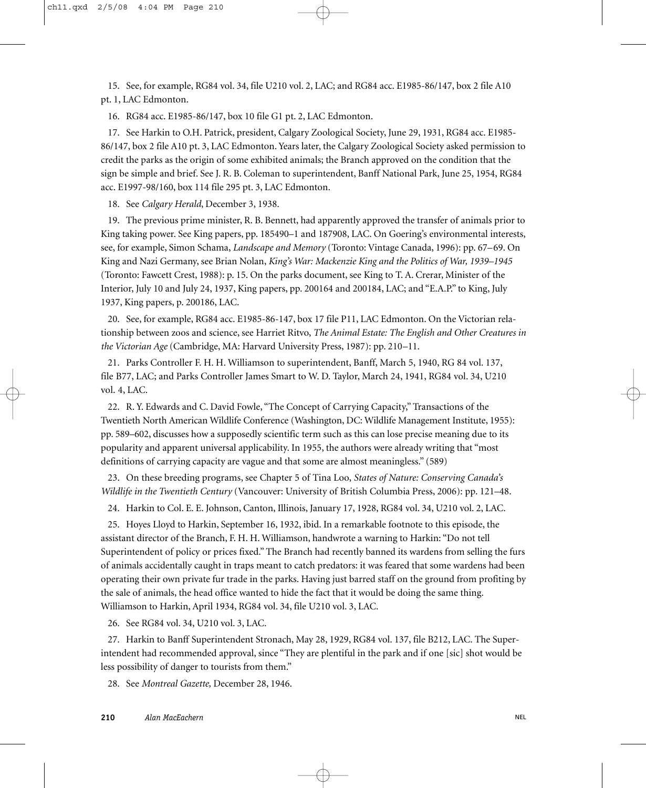15. See, for example, RG84 vol. 34, file U210 vol. 2, LAC; and RG84 acc. E1985-86/147, box 2 file A10 pt. 1, LAC Edmonton.

16. RG84 acc. E1985-86/147, box 10 file G1 pt. 2, LAC Edmonton.

17. See Harkin to O.H. Patrick, president, Calgary Zoological Society, June 29, 1931, RG84 acc. E1985- 86/147, box 2 file A10 pt. 3, LAC Edmonton. Years later, the Calgary Zoological Society asked permission to credit the parks as the origin of some exhibited animals; the Branch approved on the condition that the sign be simple and brief. See J. R. B. Coleman to superintendent, Banff National Park, June 25, 1954, RG84 acc. E1997-98/160, box 114 file 295 pt. 3, LAC Edmonton.

18. See *Calgary Herald*, December 3, 1938.

19. The previous prime minister, R. B. Bennett, had apparently approved the transfer of animals prior to King taking power. See King papers, pp. 185490–1 and 187908, LAC. On Goering's environmental interests, see, for example, Simon Schama, *Landscape and Memory* (Toronto: Vintage Canada, 1996): pp. 67–69. On King and Nazi Germany, see Brian Nolan, *King's War: Mackenzie King and the Politics of War, 1939–1945* (Toronto: Fawcett Crest, 1988): p. 15. On the parks document, see King to T. A. Crerar, Minister of the Interior, July 10 and July 24, 1937, King papers, pp. 200164 and 200184, LAC; and "E.A.P." to King, July 1937, King papers, p. 200186, LAC.

20. See, for example, RG84 acc. E1985-86-147, box 17 file P11, LAC Edmonton. On the Victorian relationship between zoos and science, see Harriet Ritvo, *The Animal Estate: The English and Other Creatures in the Victorian Age* (Cambridge, MA: Harvard University Press, 1987): pp. 210–11.

21. Parks Controller F. H. H. Williamson to superintendent, Banff, March 5, 1940, RG 84 vol. 137, file B77, LAC; and Parks Controller James Smart to W. D. Taylor, March 24, 1941, RG84 vol. 34, U210 vol. 4, LAC.

22. R. Y. Edwards and C. David Fowle, "The Concept of Carrying Capacity," Transactions of the Twentieth North American Wildlife Conference (Washington, DC: Wildlife Management Institute, 1955): pp. 589–602, discusses how a supposedly scientific term such as this can lose precise meaning due to its popularity and apparent universal applicability. In 1955, the authors were already writing that "most definitions of carrying capacity are vague and that some are almost meaningless." (589)

23. On these breeding programs, see Chapter 5 of Tina Loo, *States of Nature: Conserving Canada's Wildlife in the Twentieth Century* (Vancouver: University of British Columbia Press, 2006): pp. 121–48.

24. Harkin to Col. E. E. Johnson, Canton, Illinois, January 17, 1928, RG84 vol. 34, U210 vol. 2, LAC.

25. Hoyes Lloyd to Harkin, September 16, 1932, ibid. In a remarkable footnote to this episode, the assistant director of the Branch, F. H. H. Williamson, handwrote a warning to Harkin: "Do not tell Superintendent of policy or prices fixed." The Branch had recently banned its wardens from selling the furs of animals accidentally caught in traps meant to catch predators: it was feared that some wardens had been operating their own private fur trade in the parks. Having just barred staff on the ground from profiting by the sale of animals, the head office wanted to hide the fact that it would be doing the same thing. Williamson to Harkin, April 1934, RG84 vol. 34, file U210 vol. 3, LAC.

26. See RG84 vol. 34, U210 vol. 3, LAC.

27. Harkin to Banff Superintendent Stronach, May 28, 1929, RG84 vol. 137, file B212, LAC. The Superintendent had recommended approval, since "They are plentiful in the park and if one [sic] shot would be less possibility of danger to tourists from them."

28. See *Montreal Gazette,* December 28, 1946.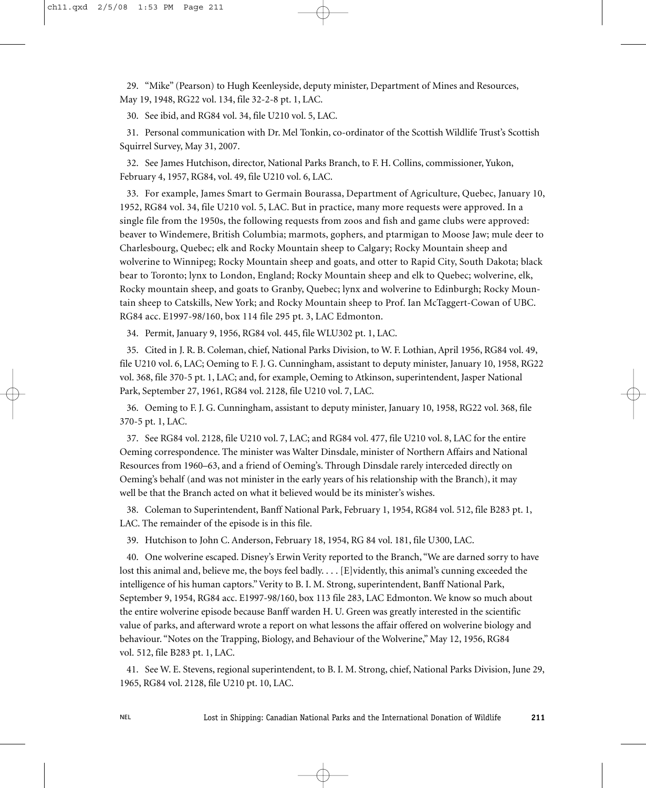29. "Mike" (Pearson) to Hugh Keenleyside, deputy minister, Department of Mines and Resources, May 19, 1948, RG22 vol. 134, file 32-2-8 pt. 1, LAC.

30. See ibid, and RG84 vol. 34, file U210 vol. 5, LAC.

31. Personal communication with Dr. Mel Tonkin, co-ordinator of the Scottish Wildlife Trust's Scottish Squirrel Survey, May 31, 2007.

32. See James Hutchison, director, National Parks Branch, to F. H. Collins, commissioner, Yukon, February 4, 1957, RG84, vol. 49, file U210 vol. 6, LAC.

33. For example, James Smart to Germain Bourassa, Department of Agriculture, Quebec, January 10, 1952, RG84 vol. 34, file U210 vol. 5, LAC. But in practice, many more requests were approved. In a single file from the 1950s, the following requests from zoos and fish and game clubs were approved: beaver to Windemere, British Columbia; marmots, gophers, and ptarmigan to Moose Jaw; mule deer to Charlesbourg, Quebec; elk and Rocky Mountain sheep to Calgary; Rocky Mountain sheep and wolverine to Winnipeg; Rocky Mountain sheep and goats, and otter to Rapid City, South Dakota; black bear to Toronto; lynx to London, England; Rocky Mountain sheep and elk to Quebec; wolverine, elk, Rocky mountain sheep, and goats to Granby, Quebec; lynx and wolverine to Edinburgh; Rocky Mountain sheep to Catskills, New York; and Rocky Mountain sheep to Prof. Ian McTaggert-Cowan of UBC. RG84 acc. E1997-98/160, box 114 file 295 pt. 3, LAC Edmonton.

34. Permit, January 9, 1956, RG84 vol. 445, file WLU302 pt. 1, LAC.

35. Cited in J. R. B. Coleman, chief, National Parks Division, to W. F. Lothian, April 1956, RG84 vol. 49, file U210 vol. 6, LAC; Oeming to F. J. G. Cunningham, assistant to deputy minister, January 10, 1958, RG22 vol. 368, file 370-5 pt. 1, LAC; and, for example, Oeming to Atkinson, superintendent, Jasper National Park, September 27, 1961, RG84 vol. 2128, file U210 vol. 7, LAC.

36. Oeming to F. J. G. Cunningham, assistant to deputy minister, January 10, 1958, RG22 vol. 368, file 370-5 pt. 1, LAC.

37. See RG84 vol. 2128, file U210 vol. 7, LAC; and RG84 vol. 477, file U210 vol. 8, LAC for the entire Oeming correspondence. The minister was Walter Dinsdale, minister of Northern Affairs and National Resources from 1960–63, and a friend of Oeming's. Through Dinsdale rarely interceded directly on Oeming's behalf (and was not minister in the early years of his relationship with the Branch), it may well be that the Branch acted on what it believed would be its minister's wishes.

38. Coleman to Superintendent, Banff National Park, February 1, 1954, RG84 vol. 512, file B283 pt. 1, LAC. The remainder of the episode is in this file.

39. Hutchison to John C. Anderson, February 18, 1954, RG 84 vol. 181, file U300, LAC.

40. One wolverine escaped. Disney's Erwin Verity reported to the Branch, "We are darned sorry to have lost this animal and, believe me, the boys feel badly. . . . [E]vidently, this animal's cunning exceeded the intelligence of his human captors." Verity to B. I. M. Strong, superintendent, Banff National Park, September 9, 1954, RG84 acc. E1997-98/160, box 113 file 283, LAC Edmonton. We know so much about the entire wolverine episode because Banff warden H. U. Green was greatly interested in the scientific value of parks, and afterward wrote a report on what lessons the affair offered on wolverine biology and behaviour. "Notes on the Trapping, Biology, and Behaviour of the Wolverine," May 12, 1956, RG84 vol. 512, file B283 pt. 1, LAC.

41. See W. E. Stevens, regional superintendent, to B. I. M. Strong, chief, National Parks Division, June 29, 1965, RG84 vol. 2128, file U210 pt. 10, LAC.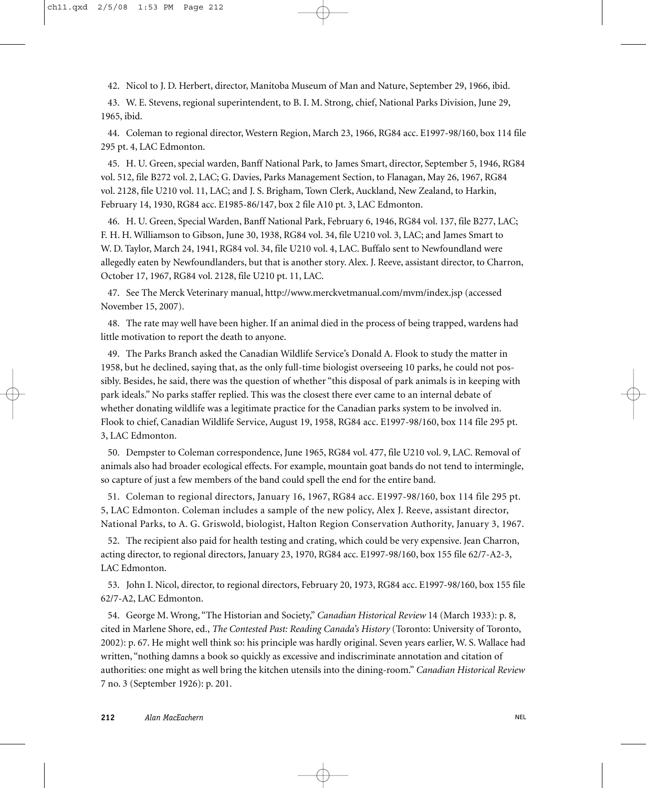42. Nicol to J. D. Herbert, director, Manitoba Museum of Man and Nature, September 29, 1966, ibid.

43. W. E. Stevens, regional superintendent, to B. I. M. Strong, chief, National Parks Division, June 29, 1965, ibid.

44. Coleman to regional director, Western Region, March 23, 1966, RG84 acc. E1997-98/160, box 114 file 295 pt. 4, LAC Edmonton.

45. H. U. Green, special warden, Banff National Park, to James Smart, director, September 5, 1946, RG84 vol. 512, file B272 vol. 2, LAC; G. Davies, Parks Management Section, to Flanagan, May 26, 1967, RG84 vol. 2128, file U210 vol. 11, LAC; and J. S. Brigham, Town Clerk, Auckland, New Zealand, to Harkin, February 14, 1930, RG84 acc. E1985-86/147, box 2 file A10 pt. 3, LAC Edmonton.

46. H. U. Green, Special Warden, Banff National Park, February 6, 1946, RG84 vol. 137, file B277, LAC; F. H. H. Williamson to Gibson, June 30, 1938, RG84 vol. 34, file U210 vol. 3, LAC; and James Smart to W. D. Taylor, March 24, 1941, RG84 vol. 34, file U210 vol. 4, LAC. Buffalo sent to Newfoundland were allegedly eaten by Newfoundlanders, but that is another story. Alex. J. Reeve, assistant director, to Charron, October 17, 1967, RG84 vol. 2128, file U210 pt. 11, LAC.

47. See The Merck Veterinary manual, http://www.merckvetmanual.com/mvm/index.jsp (accessed November 15, 2007).

48. The rate may well have been higher. If an animal died in the process of being trapped, wardens had little motivation to report the death to anyone.

49. The Parks Branch asked the Canadian Wildlife Service's Donald A. Flook to study the matter in 1958, but he declined, saying that, as the only full-time biologist overseeing 10 parks, he could not possibly. Besides, he said, there was the question of whether "this disposal of park animals is in keeping with park ideals." No parks staffer replied. This was the closest there ever came to an internal debate of whether donating wildlife was a legitimate practice for the Canadian parks system to be involved in. Flook to chief, Canadian Wildlife Service, August 19, 1958, RG84 acc. E1997-98/160, box 114 file 295 pt. 3, LAC Edmonton.

50. Dempster to Coleman correspondence, June 1965, RG84 vol. 477, file U210 vol. 9, LAC. Removal of animals also had broader ecological effects. For example, mountain goat bands do not tend to intermingle, so capture of just a few members of the band could spell the end for the entire band.

51. Coleman to regional directors, January 16, 1967, RG84 acc. E1997-98/160, box 114 file 295 pt. 5, LAC Edmonton. Coleman includes a sample of the new policy, Alex J. Reeve, assistant director, National Parks, to A. G. Griswold, biologist, Halton Region Conservation Authority, January 3, 1967.

52. The recipient also paid for health testing and crating, which could be very expensive. Jean Charron, acting director, to regional directors, January 23, 1970, RG84 acc. E1997-98/160, box 155 file 62/7-A2-3, LAC Edmonton.

53. John I. Nicol, director, to regional directors, February 20, 1973, RG84 acc. E1997-98/160, box 155 file 62/7-A2, LAC Edmonton.

54. George M. Wrong, "The Historian and Society," *Canadian Historical Review* 14 (March 1933): p. 8, cited in Marlene Shore, ed., *The Contested Past: Reading Canada's History* (Toronto: University of Toronto, 2002): p. 67. He might well think so: his principle was hardly original. Seven years earlier, W. S. Wallace had written, "nothing damns a book so quickly as excessive and indiscriminate annotation and citation of authorities: one might as well bring the kitchen utensils into the dining-room." *Canadian Historical Review* 7 no. 3 (September 1926): p. 201.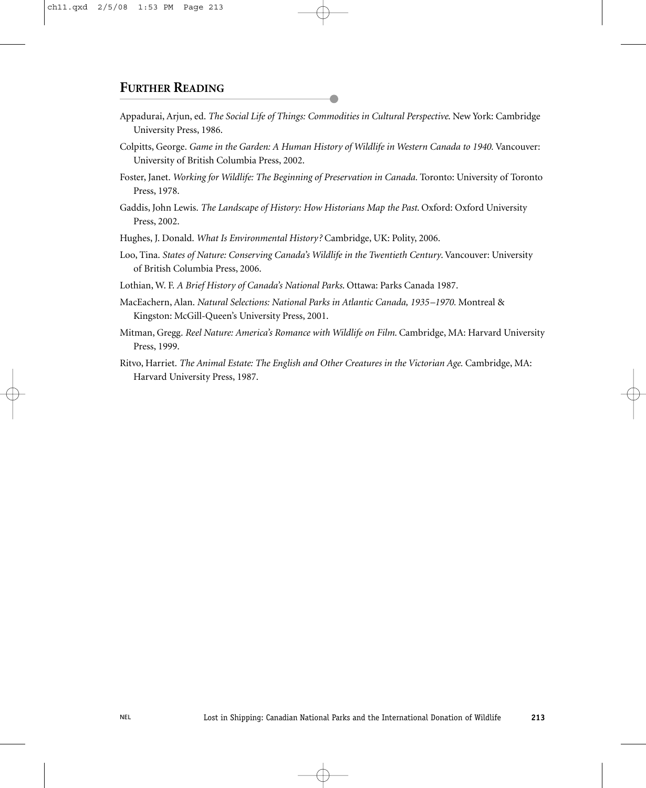#### **FURTHER READING**

- Appadurai, Arjun, ed. *The Social Life of Things: Commodities in Cultural Perspective*. New York: Cambridge University Press, 1986.
- Colpitts, George. *Game in the Garden: A Human History of Wildlife in Western Canada to 1940.* Vancouver: University of British Columbia Press, 2002.
- Foster, Janet. *Working for Wildlife: The Beginning of Preservation in Canada.* Toronto: University of Toronto Press, 1978.
- Gaddis, John Lewis. *The Landscape of History: How Historians Map the Past*. Oxford: Oxford University Press, 2002.

Hughes, J. Donald. *What Is Environmental History?* Cambridge, UK: Polity, 2006.

Loo, Tina. *States of Nature: Conserving Canada's Wildlife in the Twentieth Century*. Vancouver: University of British Columbia Press, 2006.

Lothian, W. F. *A Brief History of Canada's National Parks*. Ottawa: Parks Canada 1987.

- MacEachern, Alan. *Natural Selections: National Parks in Atlantic Canada, 1935–1970.* Montreal & Kingston: McGill-Queen's University Press, 2001.
- Mitman, Gregg. *Reel Nature: America's Romance with Wildlife on Film*. Cambridge, MA: Harvard University Press, 1999.
- Ritvo, Harriet. *The Animal Estate: The English and Other Creatures in the Victorian Age.* Cambridge, MA: Harvard University Press, 1987.